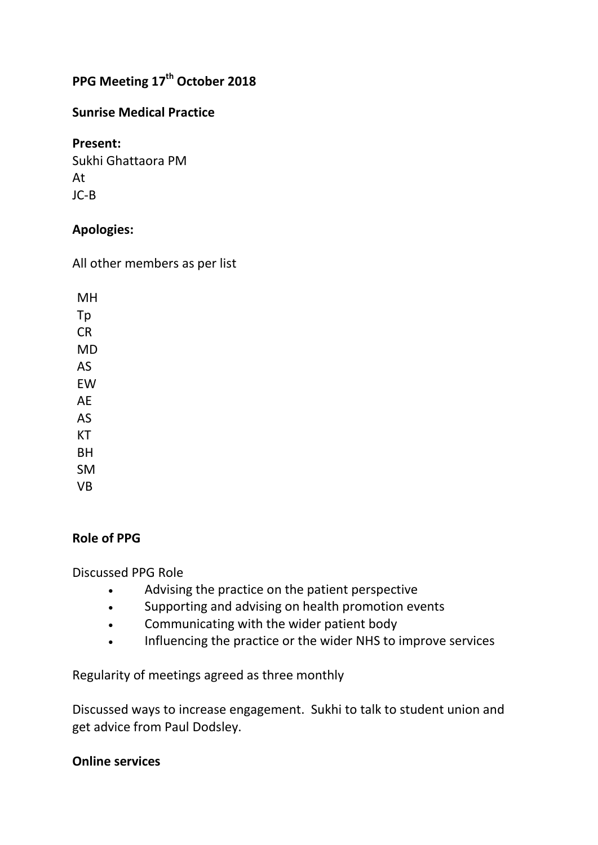## **PPG Meeting 17th October 2018**

#### **Sunrise Medical Practice**

**Present:** Sukhi Ghattaora PM

At JC-B

## **Apologies:**

All other members as per list

MH Tp CR MD AS EW AE AS **KT** BH SM VB

## **Role of PPG**

Discussed PPG Role

- Advising the practice on the patient perspective
- **Supporting and advising on health promotion events**
- Communicating with the wider patient body
- . Influencing the practice or the wider NHS to improve services

Regularity of meetings agreed as three monthly

Discussed ways to increase engagement. Sukhi to talk to student union and get advice from Paul Dodsley.

#### **Online services**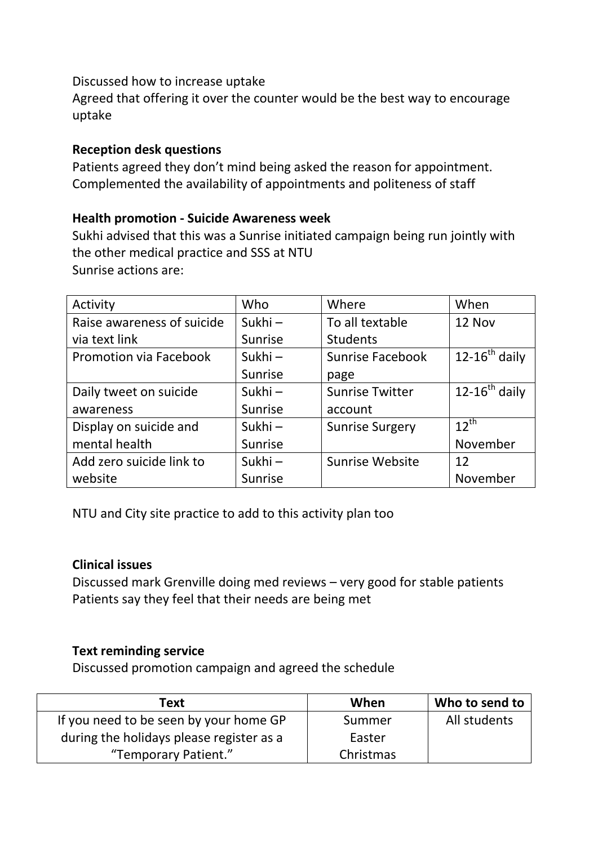Discussed how to increase uptake

Agreed that offering it over the counter would be the best way to encourage uptake

#### **Reception desk questions**

Patients agreed they don't mind being asked the reason for appointment. Complemented the availability of appointments and politeness of staff

#### **Health promotion - Suicide Awareness week**

Sukhi advised that this was a Sunrise initiated campaign being run jointly with the other medical practice and SSS at NTU Sunrise actions are:

| Activity                   | Who       | Where                   | When                      |
|----------------------------|-----------|-------------------------|---------------------------|
| Raise awareness of suicide | Sukhi $-$ | To all textable         | 12 Nov                    |
| via text link              | Sunrise   | <b>Students</b>         |                           |
| Promotion via Facebook     | Sukhi $-$ | <b>Sunrise Facebook</b> | 12-16 <sup>th</sup> daily |
|                            | Sunrise   | page                    |                           |
| Daily tweet on suicide     | Sukhi $-$ | <b>Sunrise Twitter</b>  | 12-16 <sup>th</sup> daily |
| awareness                  | Sunrise   | account                 |                           |
| Display on suicide and     | Sukhi $-$ | <b>Sunrise Surgery</b>  | $12^{th}$                 |
| mental health              | Sunrise   |                         | November                  |
| Add zero suicide link to   | Sukhi-    | Sunrise Website         | 12                        |
| website                    | Sunrise   |                         | November                  |

NTU and City site practice to add to this activity plan too

#### **Clinical issues**

Discussed mark Grenville doing med reviews – very good for stable patients Patients say they feel that their needs are being met

## **Text reminding service**

Discussed promotion campaign and agreed the schedule

| Text                                     | When      | Who to send to |
|------------------------------------------|-----------|----------------|
| If you need to be seen by your home GP   | Summer    | All students   |
| during the holidays please register as a | Easter    |                |
| "Temporary Patient."                     | Christmas |                |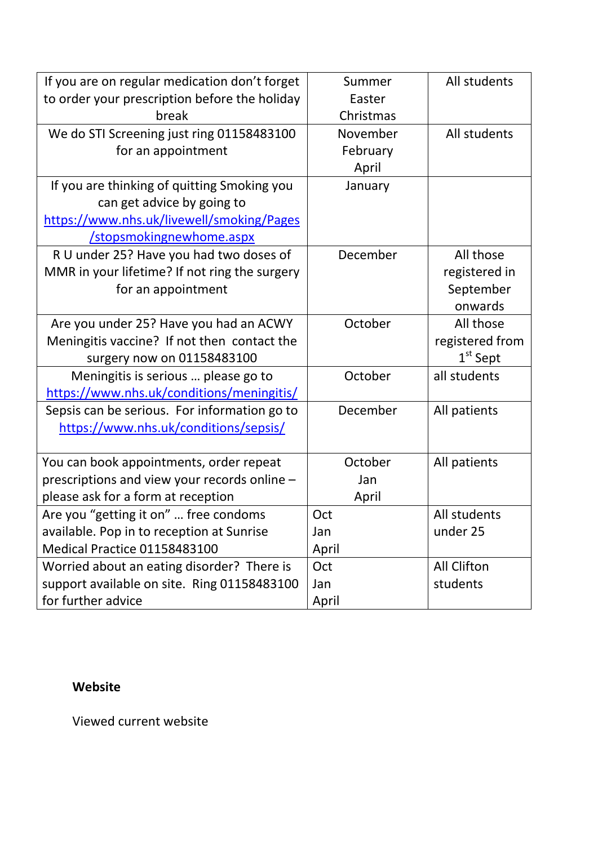| If you are on regular medication don't forget | Summer    | All students       |
|-----------------------------------------------|-----------|--------------------|
| to order your prescription before the holiday | Easter    |                    |
| break                                         | Christmas |                    |
| We do STI Screening just ring 01158483100     | November  | All students       |
| for an appointment                            | February  |                    |
|                                               | April     |                    |
| If you are thinking of quitting Smoking you   | January   |                    |
| can get advice by going to                    |           |                    |
| https://www.nhs.uk/livewell/smoking/Pages     |           |                    |
| /stopsmokingnewhome.aspx                      |           |                    |
| R U under 25? Have you had two doses of       | December  | All those          |
| MMR in your lifetime? If not ring the surgery |           | registered in      |
| for an appointment                            |           | September          |
|                                               |           | onwards            |
| Are you under 25? Have you had an ACWY        | October   | All those          |
| Meningitis vaccine? If not then contact the   |           | registered from    |
| surgery now on 01158483100                    |           | $1st$ Sept         |
| Meningitis is serious  please go to           | October   | all students       |
| https://www.nhs.uk/conditions/meningitis/     |           |                    |
| Sepsis can be serious. For information go to  | December  | All patients       |
| https://www.nhs.uk/conditions/sepsis/         |           |                    |
|                                               |           |                    |
| You can book appointments, order repeat       | October   | All patients       |
| prescriptions and view your records online -  | Jan       |                    |
| please ask for a form at reception            | April     |                    |
| Are you "getting it on"  free condoms         | Oct       | All students       |
| available. Pop in to reception at Sunrise     | Jan       | under 25           |
| Medical Practice 01158483100                  | April     |                    |
| Worried about an eating disorder? There is    | Oct       | <b>All Clifton</b> |
| support available on site. Ring 01158483100   | Jan       | students           |
| for further advice                            | April     |                    |

# **Website**

Viewed current website